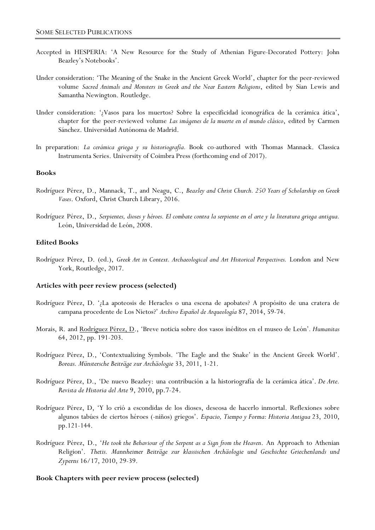- Accepted in HESPERIA: 'A New Resource for the Study of Athenian Figure-Decorated Pottery: John Beazley's Notebooks'.
- Under consideration: 'The Meaning of the Snake in the Ancient Greek World', chapter for the peer-reviewed volume *Sacred Animals and Monsters in Greek and the Near Eastern Religions*, edited by Sian Lewis and Samantha Newington. Routledge.
- Under consideration: '¿Vasos para los muertos? Sobre la especificidad iconográfica de la cerámica ática', chapter for the peer-reviewed volume *Las imágenes de la muerte en el mundo clásico*, edited by Carmen Sánchez. Universidad Autónoma de Madrid.
- In preparation: *La cerámica griega y su historiografía.* Book co-authored with Thomas Mannack. Classica Instrumenta Series. University of Coimbra Press (forthcoming end of 2017).

#### **Books**

- Rodríguez Pérez, D., Mannack, T., and Neagu, C., *Beazley and Christ Church. 250 Years of Scholarship on Greek Vases*. Oxford, Christ Church Library, 2016.
- Rodríguez Pérez, D., *Serpientes, dioses y héroes. El combate contra la serpiente en el arte y la literatura griega antigua.*  León, Universidad de León, 2008.

# **Edited Books**

Rodríguez Pérez, D. (ed.), *Greek Art in Context. Archaeological and Art Historical Perspectives.* London and New York, Routledge, 2017.

### **Articles with peer review process (selected)**

- Rodríguez Pérez, D. '¿La apoteosis de Heracles o una escena de apobates? A propósito de una cratera de campana procedente de Los Nietos?' *Archivo Español de Arqueología* 87, 2014, 59-74.
- Morais, R. and Rodríguez Pérez, D., 'Breve noticia sobre dos vasos inéditos en el museo de León'*. Humanitas* 64, 2012, pp. 191-203.
- Rodríguez Pérez, D., 'Contextualizing Symbols. 'The Eagle and the Snake' in the Ancient Greek World'. *Boreas. Münstersche Beiträge zur Archäologie* 33, 2011, 1-21.
- Rodríguez Pérez, D., 'De nuevo Beazley: una contribución a la historiografía de la cerámica ática'. *De Arte. Revista de Historia del Arte* 9, 2010, pp.7-24.
- Rodríguez Pérez, D, 'Y lo crió a escondidas de los dioses, deseosa de hacerlo inmortal. Reflexiones sobre algunos tabúes de ciertos héroes (-niños) griegos'. *Espacio, Tiempo y Forma: Historia Antigua* 23, 2010, pp.121-144.
- Rodríguez Pérez, D., '*He took the Behaviour of the Serpent as a Sign from the Heaven*. An Approach to Athenian Religion'. *Thetis. Mannheimer Beiträge zur klassischen Archäologie und Geschichte Griechenlands und Zyperns* 16/17, 2010, 29-39.

### **Book Chapters with peer review process (selected)**